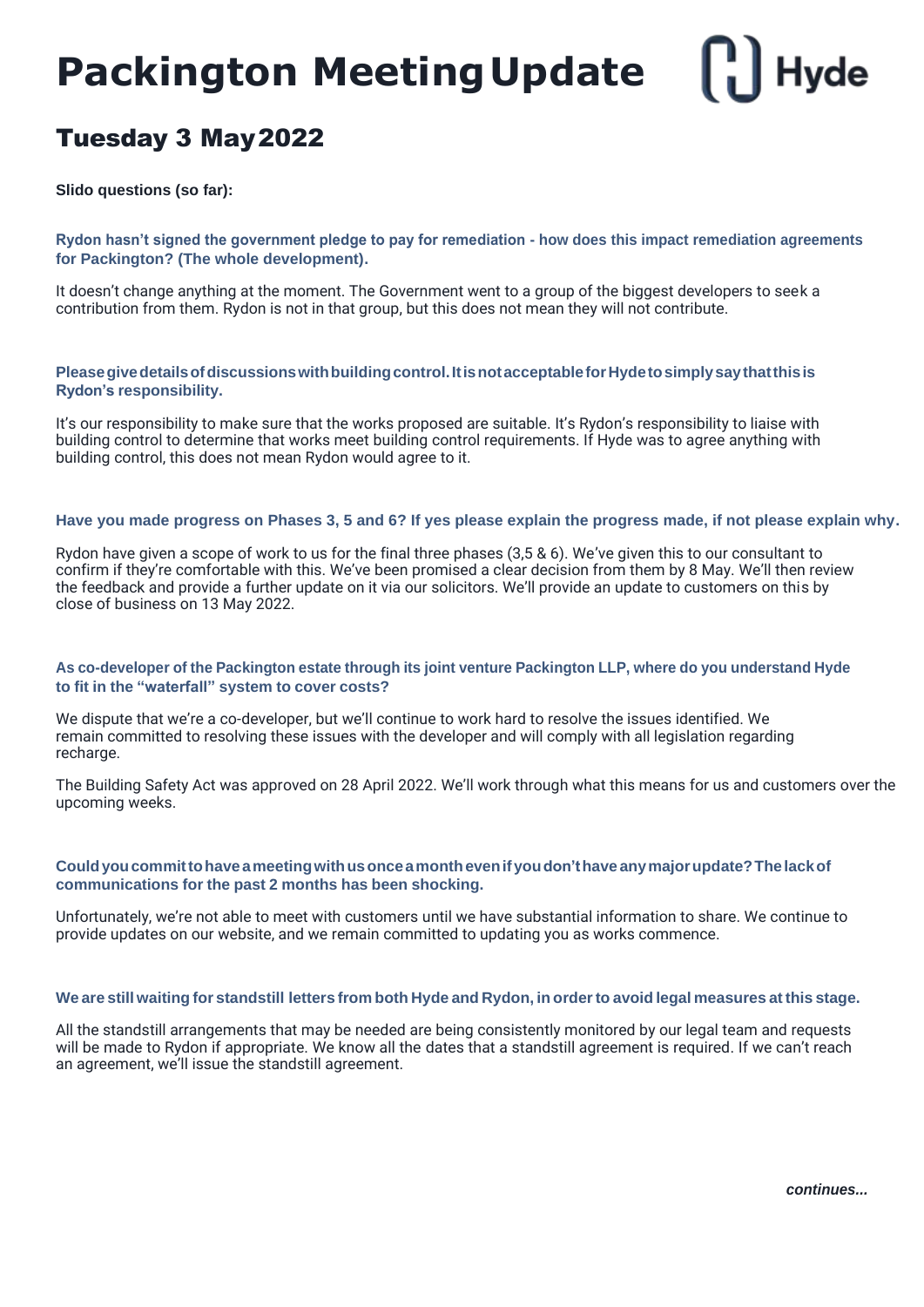# **Hyde Packington MeetingUpdate**

## Tuesday 3 May2022

**Slido questions (so far):**

**Rydon hasn't signed the government pledge to pay for remediation - how does this impact remediation agreements for Packington? (The whole development).**

It doesn't change anything at the moment. The Government went to a group of the biggest developers to seek a contribution from them. Rydon is not in that group, but this does not mean they will not contribute.

### **Pleasegivedetailsofdiscussionswithbuildingcontrol.ItisnotacceptableforHydetosimplysaythatthisis Rydon's responsibility.**

It's our responsibility to make sure that the works proposed are suitable. It's Rydon's responsibility to liaise with building control to determine that works meet building control requirements. If Hyde was to agree anything with building control, this does not mean Rydon would agree to it.

#### **Have you made progress on Phases 3, 5 and 6? If yes please explain the progress made, if not please explain why.**

Rydon have given a scope of work to us for the final three phases (3,5 & 6). We've given this to our consultant to confirm if they're comfortable with this. We've been promised a clear decision from them by 8 May. We'll then review the feedback and provide a further update on it via our solicitors. We'll provide an update to customers on this by close of business on 13 May 2022.

#### As co-developer of the Packington estate through its joint venture Packington LLP, where do you understand Hyde **to fit in the "waterfall" system to cover costs?**

We dispute that we're a co-developer, but we'll continue to work hard to resolve the issues identified. We remain committed to resolving these issues with the developer and will comply with all legislation regarding recharge.

The Building Safety Act was approved on 28 April 2022. We'll work through what this means for us and customers over the upcoming weeks.

#### **Couldyoucommittohaveameetingwithusonceamonthevenifyoudon'thave anymajorupdate?Thelackof communications for the past 2 months has been shocking.**

Unfortunately, we're not able to meet with customers until we have substantial information to share. We continue to provide updates on our website, and we remain committed to updating you as works commence.

#### We are still waiting for standstill letters from both Hyde and Rydon, in order to avoid legal measures at this stage.

All the standstill arrangements that may be needed are being consistently monitored by our legal team and requests will be made to Rydon if appropriate. We know all the dates that a standstill agreement is required. If we can't reach an agreement, we'll issue the standstill agreement.